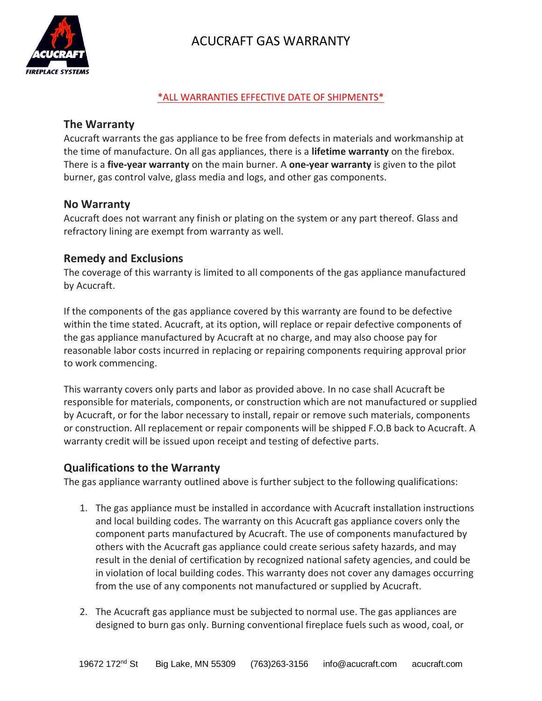

# ACUCRAFT GAS WARRANTY

#### \*ALL WARRANTIES EFFECTIVE DATE OF SHIPMENTS\*

## **The Warranty**

Acucraft warrants the gas appliance to be free from defects in materials and workmanship at the time of manufacture. On all gas appliances, there is a **lifetime warranty** on the firebox. There is a **five-year warranty** on the main burner. A **one-year warranty** is given to the pilot burner, gas control valve, glass media and logs, and other gas components.

#### **No Warranty**

Acucraft does not warrant any finish or plating on the system or any part thereof. Glass and refractory lining are exempt from warranty as well.

## **Remedy and Exclusions**

The coverage of this warranty is limited to all components of the gas appliance manufactured by Acucraft.

If the components of the gas appliance covered by this warranty are found to be defective within the time stated. Acucraft, at its option, will replace or repair defective components of the gas appliance manufactured by Acucraft at no charge, and may also choose pay for reasonable labor costs incurred in replacing or repairing components requiring approval prior to work commencing.

This warranty covers only parts and labor as provided above. In no case shall Acucraft be responsible for materials, components, or construction which are not manufactured or supplied by Acucraft, or for the labor necessary to install, repair or remove such materials, components or construction. All replacement or repair components will be shipped F.O.B back to Acucraft. A warranty credit will be issued upon receipt and testing of defective parts.

#### **Qualifications to the Warranty**

The gas appliance warranty outlined above is further subject to the following qualifications:

- 1. The gas appliance must be installed in accordance with Acucraft installation instructions and local building codes. The warranty on this Acucraft gas appliance covers only the component parts manufactured by Acucraft. The use of components manufactured by others with the Acucraft gas appliance could create serious safety hazards, and may result in the denial of certification by recognized national safety agencies, and could be in violation of local building codes. This warranty does not cover any damages occurring from the use of any components not manufactured or supplied by Acucraft.
- 2. The Acucraft gas appliance must be subjected to normal use. The gas appliances are designed to burn gas only. Burning conventional fireplace fuels such as wood, coal, or